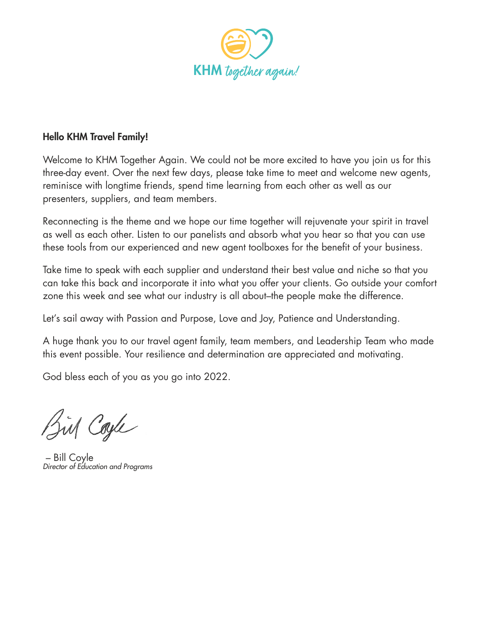

## **Hello KHM Travel Family!**

Welcome to KHM Together Again. We could not be more excited to have you join us for this three-day event. Over the next few days, please take time to meet and welcome new agents, reminisce with longtime friends, spend time learning from each other as well as our presenters, suppliers, and team members.

Reconnecting is the theme and we hope our time together will rejuvenate your spirit in travel as well as each other. Listen to our panelists and absorb what you hear so that you can use these tools from our experienced and new agent toolboxes for the benefit of your business.

Take time to speak with each supplier and understand their best value and niche so that you can take this back and incorporate it into what you offer your clients. Go outside your comfort zone this week and see what our industry is all about–the people make the difference.

Let's sail away with Passion and Purpose, Love and Joy, Patience and Understanding.

A huge thank you to our travel agent family, team members, and Leadership Team who made this event possible. Your resilience and determination are appreciated and motivating.

God bless each of you as you go into 2022.

Bis Cayle

– Bill Coyle *Director of Education and Programs*